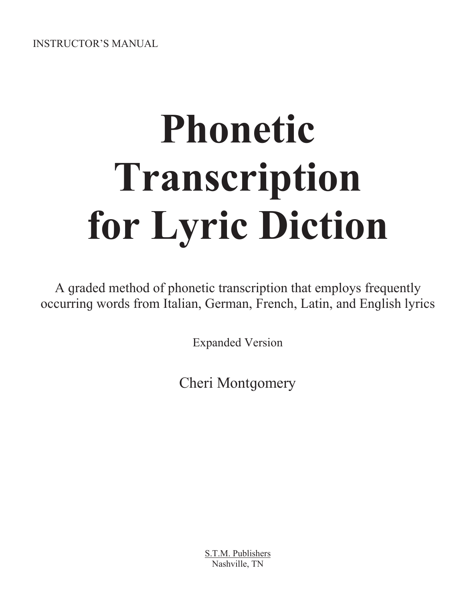**INSTRUCTOR'S MANUAL** 

# **Phonetic** Transcription for Lyric Diction

A graded method of phonetic transcription that employs frequently occurring words from Italian, German, French, Latin, and English lyrics

**Expanded Version** 

**Cheri Montgomery** 

S.T.M. Publishers Nashville, TN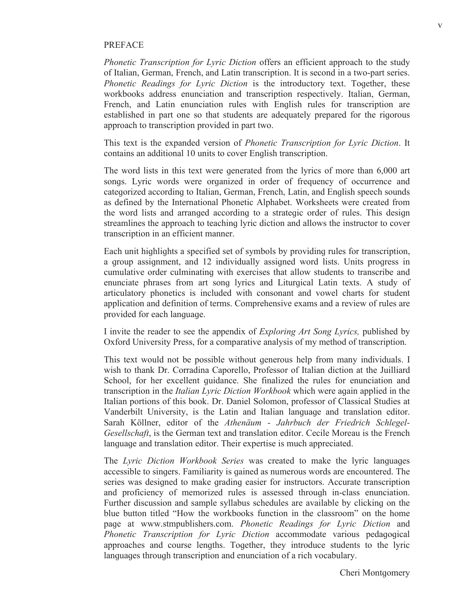#### PREFACE

*Phonetic Transcription for Lyric Diction* offers an efficient approach to the study of Italian, German, French, and Latin transcription. It is second in a two-part series. *Phonetic Readings for Lyric Diction* is the introductory text. Together, these workbooks address enunciation and transcription respectively. Italian, German, French, and Latin enunciation rules with English rules for transcription are established in part one so that students are adequately prepared for the riqorous approach to transcription provided in part two.

This text is the expanded version of *Phonetic Transcription for Lyric Diction*. It contains an additional 10 units to cover English transcription.

The word lists in this text were generated from the lyrics of more than 6,000 art songs. Lyric words were organized in order of frequency of occurrence and categorized according to Italian, German, French, Latin, and English speech sounds as defined by the International Phonetic Alphabet. Worksheets were created from the word lists and arranged according to a strategic order of rules. This design streamlines the approach to teaching lyric diction and allows the instructor to cover transcription in an efficient manner.

Each unit highlights a specified set of symbols by providing rules for transcription, a group assignment, and 12 individually assigned word lists. Units progress in cumulative order culminating with exercises that allow students to transcribe and enunciate phrases from art song lyrics and Liturgical Latin texts. A study of articulatory phonetics is included with consonant and vowel charts for student application and definition of terms. Comprehensive exams and a review of rules are provided for each language.

I invite the reader to see the appendix of *Exploring Art Song Lyrics,* published by Oxford University Press, for a comparative analysis of my method of transcription.

This text would not be possible without generous help from many individuals. I wish to thank Dr. Corradina Caporello, Professor of Italian diction at the Juilliard School, for her excellent quidance. She finalized the rules for enunciation and transcription in the *Italian Lyric Diction Workbook* which were again applied in the Italian portions of this book. Dr. Daniel Solomon, professor of Classical Studies at Vanderbilt University, is the Latin and Italian language and translation editor. Sarah Köllner, editor of the *Athenäum - Jahrbuch der Friedrich Schlegel-Gesellschaft*, is the German text and translation editor. Cecile Moreau is the French lanquaqe and translation editor. Their expertise is much appreciated.

The *Lyric Diction Workbook Series* was created to make the lyric languages accessible to singers. Familiarity is gained as numerous words are encountered. The series was designed to make grading easier for instructors. Accurate transcription and proficiency of memorized rules is assessed through in-class enunciation. Further discussion and sample syllabus schedules are available by clicking on the blue button titled "How the workbooks function in the classroom" on the home paܳe at www.stmpublishers.com. *Phonetic Readings for Lyric Diction* and *Phonetic Transcription for Lyric Diction* accommodate various pedagogical approaches and course lengths. Together, they introduce students to the lyric lanquaqes through transcription and enunciation of a rich vocabulary.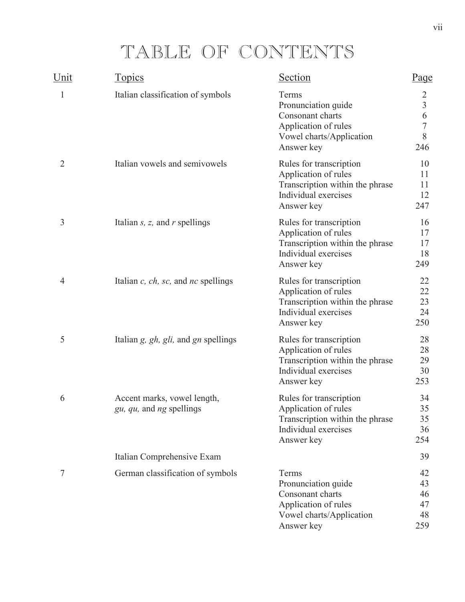# TABLE OF CONTENTS

| Unit | <b>Topics</b>                                           | Section                                                                                                                  | Page                                                   |
|------|---------------------------------------------------------|--------------------------------------------------------------------------------------------------------------------------|--------------------------------------------------------|
| 1    | Italian classification of symbols                       | Terms<br>Pronunciation guide<br>Consonant charts<br>Application of rules<br>Vowel charts/Application<br>Answer key       | 2<br>$\overline{3}$<br>6<br>$\overline{7}$<br>8<br>246 |
| 2    | Italian vowels and semivowels                           | Rules for transcription<br>Application of rules<br>Transcription within the phrase<br>Individual exercises<br>Answer key | 10<br>11<br>11<br>12<br>247                            |
| 3    | Italian $s$ , $z$ , and $r$ spellings                   | Rules for transcription<br>Application of rules<br>Transcription within the phrase<br>Individual exercises<br>Answer key | 16<br>17<br>17<br>18<br>249                            |
| 4    | Italian $c$ , $ch$ , $sc$ , and $nc$ spellings          | Rules for transcription<br>Application of rules<br>Transcription within the phrase<br>Individual exercises<br>Answer key | 22<br>22<br>23<br>24<br>250                            |
| 5    | Italian $g$ , $gh$ , $gli$ , and $gn$ spellings         | Rules for transcription<br>Application of rules<br>Transcription within the phrase<br>Individual exercises<br>Answer key | 28<br>28<br>29<br>30<br>253                            |
| 6    | Accent marks, vowel length,<br>gu, qu, and ng spellings | Rules for transcription<br>Application of rules<br>Transcription within the phrase<br>Individual exercises<br>Answer key | 34<br>35<br>35<br>36<br>254                            |
|      | Italian Comprehensive Exam                              |                                                                                                                          | 39                                                     |
| 7    | German classification of symbols                        | Terms<br>Pronunciation guide<br>Consonant charts<br>Application of rules<br>Vowel charts/Application<br>Answer key       | 42<br>43<br>46<br>47<br>48<br>259                      |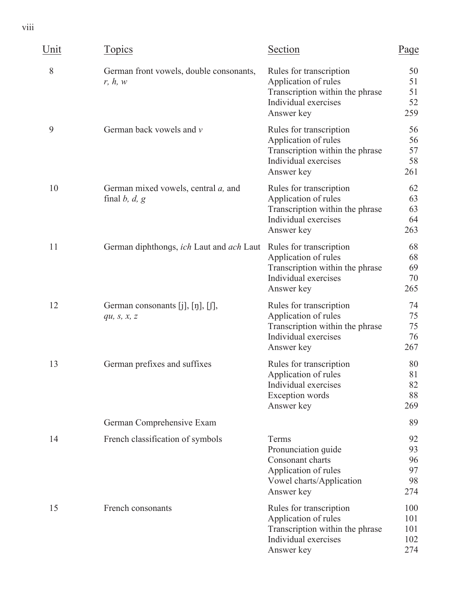viii

| Unit | <b>Topics</b>                                                  | Section                                                                                                                  | Page                              |
|------|----------------------------------------------------------------|--------------------------------------------------------------------------------------------------------------------------|-----------------------------------|
| 8    | German front vowels, double consonants,<br>r, h, w             | Rules for transcription<br>Application of rules<br>Transcription within the phrase<br>Individual exercises<br>Answer key | 50<br>51<br>51<br>52<br>259       |
| 9    | German back vowels and v                                       | Rules for transcription<br>Application of rules<br>Transcription within the phrase<br>Individual exercises<br>Answer key | 56<br>56<br>57<br>58<br>261       |
| 10   | German mixed vowels, central <i>a</i> , and<br>final $b, d, g$ | Rules for transcription<br>Application of rules<br>Transcription within the phrase<br>Individual exercises<br>Answer key | 62<br>63<br>63<br>64<br>263       |
| 11   | German diphthongs, ich Laut and ach Laut                       | Rules for transcription<br>Application of rules<br>Transcription within the phrase<br>Individual exercises<br>Answer key | 68<br>68<br>69<br>70<br>265       |
| 12   | German consonants $[j], [j], [j],$<br>qu, $S, X, Z$            | Rules for transcription<br>Application of rules<br>Transcription within the phrase<br>Individual exercises<br>Answer key | 74<br>75<br>75<br>76<br>267       |
| 13   | German prefixes and suffixes                                   | Rules for transcription<br>Application of rules<br>Individual exercises<br>Exception words<br>Answer key                 | 80<br>81<br>82<br>88<br>269       |
|      | German Comprehensive Exam                                      |                                                                                                                          | 89                                |
| 14   | French classification of symbols                               | Terms<br>Pronunciation guide<br>Consonant charts<br>Application of rules<br>Vowel charts/Application<br>Answer key       | 92<br>93<br>96<br>97<br>98<br>274 |
| 15   | French consonants                                              | Rules for transcription<br>Application of rules<br>Transcription within the phrase<br>Individual exercises<br>Answer key | 100<br>101<br>101<br>102<br>274   |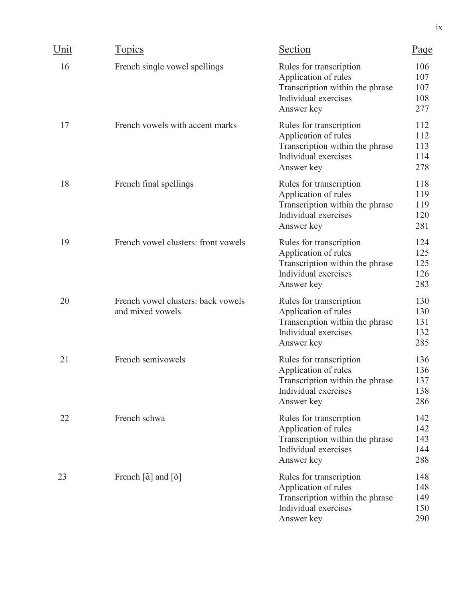| Unit | <b>Topics</b>                                                          | Section                                                                                                                  | Page                            |
|------|------------------------------------------------------------------------|--------------------------------------------------------------------------------------------------------------------------|---------------------------------|
| 16   | French single vowel spellings                                          | Rules for transcription<br>Application of rules<br>Transcription within the phrase<br>Individual exercises<br>Answer key | 106<br>107<br>107<br>108<br>277 |
| 17   | French vowels with accent marks                                        | Rules for transcription<br>Application of rules<br>Transcription within the phrase<br>Individual exercises<br>Answer key | 112<br>112<br>113<br>114<br>278 |
| 18   | French final spellings                                                 | Rules for transcription<br>Application of rules<br>Transcription within the phrase<br>Individual exercises<br>Answer key | 118<br>119<br>119<br>120<br>281 |
| 19   | French vowel clusters: front vowels                                    | Rules for transcription<br>Application of rules<br>Transcription within the phrase<br>Individual exercises<br>Answer key | 124<br>125<br>125<br>126<br>283 |
| 20   | French vowel clusters: back vowels<br>and mixed vowels                 | Rules for transcription<br>Application of rules<br>Transcription within the phrase<br>Individual exercises<br>Answer key | 130<br>130<br>131<br>132<br>285 |
| 21   | French semivowels                                                      | Rules for transcription<br>Application of rules<br>Transcription within the phrase<br>Individual exercises<br>Answer key | 136<br>136<br>137<br>138<br>286 |
| 22   | French schwa                                                           | Rules for transcription<br>Application of rules<br>Transcription within the phrase<br>Individual exercises<br>Answer key | 142<br>142<br>143<br>144<br>288 |
| 23   | French $\left[\tilde{\alpha}\right]$ and $\left[\tilde{\delta}\right]$ | Rules for transcription<br>Application of rules<br>Transcription within the phrase<br>Individual exercises<br>Answer key | 148<br>148<br>149<br>150<br>290 |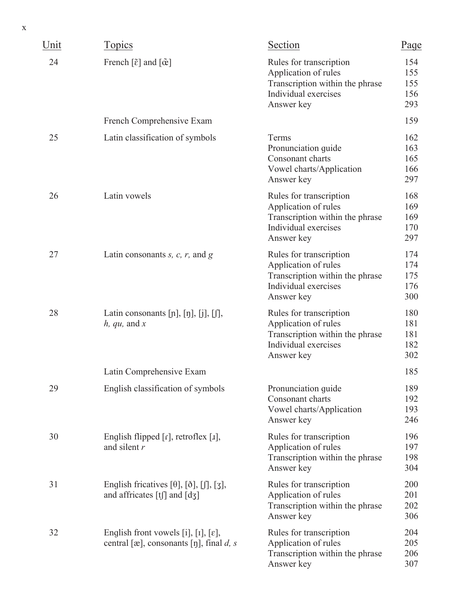| X    |                                                                                                                     |                                                                                                                          |                                 |
|------|---------------------------------------------------------------------------------------------------------------------|--------------------------------------------------------------------------------------------------------------------------|---------------------------------|
| Unit | <b>Topics</b>                                                                                                       | Section                                                                                                                  | Page                            |
| 24   | French $\lceil \tilde{\varepsilon} \rceil$ and $\lceil \tilde{\varpi} \rceil$                                       | Rules for transcription<br>Application of rules<br>Transcription within the phrase<br>Individual exercises<br>Answer key | 154<br>155<br>155<br>156<br>293 |
|      | French Comprehensive Exam                                                                                           |                                                                                                                          | 159                             |
| 25   | Latin classification of symbols                                                                                     | Terms<br>Pronunciation guide<br>Consonant charts<br>Vowel charts/Application<br>Answer key                               | 162<br>163<br>165<br>166<br>297 |
| 26   | Latin vowels                                                                                                        | Rules for transcription<br>Application of rules<br>Transcription within the phrase<br>Individual exercises<br>Answer key | 168<br>169<br>169<br>170<br>297 |
| 27   | Latin consonants $s$ , $c$ , $r$ , and $g$                                                                          | Rules for transcription<br>Application of rules<br>Transcription within the phrase<br>Individual exercises<br>Answer key | 174<br>174<br>175<br>176<br>300 |
| 28   | Latin consonants $[p]$ , $[p]$ , $[j]$ , $[j]$ ,<br>$h, qu,$ and $x$                                                | Rules for transcription<br>Application of rules<br>Transcription within the phrase<br>Individual exercises<br>Answer key | 180<br>181<br>181<br>182<br>302 |
|      | Latin Comprehensive Exam                                                                                            |                                                                                                                          | 185                             |
| 29   | English classification of symbols                                                                                   | Pronunciation guide<br>Consonant charts<br>Vowel charts/Application<br>Answer key                                        | 189<br>192<br>193<br>246        |
| 30   | English flipped $\lceil r \rceil$ , retroflex $\lceil r \rceil$ ,<br>and silent $r$                                 | Rules for transcription<br>Application of rules<br>Transcription within the phrase<br>Answer key                         | 196<br>197<br>198<br>304        |
| 31   | English fricatives $[\theta]$ , $[\delta]$ , $[\int]$ , $[\infty]$ ,<br>and affricates $[t]$ and $[d_3]$            | Rules for transcription<br>Application of rules<br>Transcription within the phrase<br>Answer key                         | 200<br>201<br>202<br>306        |
| 32   | English front vowels [i], [I], $[\varepsilon]$ ,<br>central [ $\infty$ ], consonants [ŋ], final <i>d</i> , <i>s</i> | Rules for transcription<br>Application of rules<br>Transcription within the phrase<br>Answer key                         | 204<br>205<br>206<br>307        |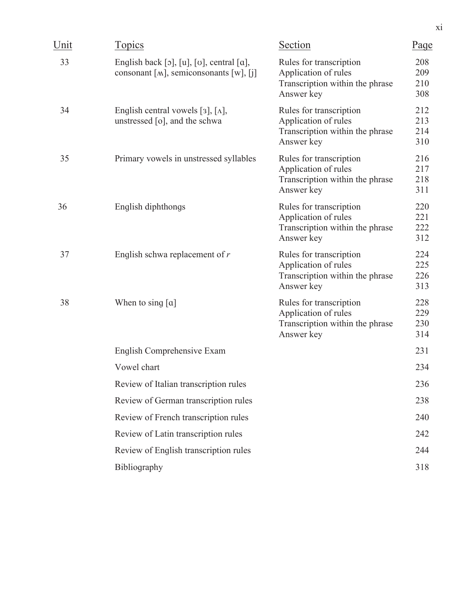| Unit | <u>Topics</u>                                                                                                  | Section                                                                                          | Page                     |
|------|----------------------------------------------------------------------------------------------------------------|--------------------------------------------------------------------------------------------------|--------------------------|
| 33   | English back $[\circ]$ , $[u]$ , $[\circ]$ , central $[a]$ ,<br>consonant [ $M$ ], semiconsonants [ $W$ ], [j] | Rules for transcription<br>Application of rules<br>Transcription within the phrase<br>Answer key | 208<br>209<br>210<br>308 |
| 34   | English central vowels [3], $[\Lambda]$ ,<br>unstressed $[o]$ , and the schwa                                  | Rules for transcription<br>Application of rules<br>Transcription within the phrase<br>Answer key | 212<br>213<br>214<br>310 |
| 35   | Primary vowels in unstressed syllables                                                                         | Rules for transcription<br>Application of rules<br>Transcription within the phrase<br>Answer key | 216<br>217<br>218<br>311 |
| 36   | English diphthongs                                                                                             | Rules for transcription<br>Application of rules<br>Transcription within the phrase<br>Answer key | 220<br>221<br>222<br>312 |
| 37   | English schwa replacement of $r$                                                                               | Rules for transcription<br>Application of rules<br>Transcription within the phrase<br>Answer key | 224<br>225<br>226<br>313 |
| 38   | When to sing $[a]$                                                                                             | Rules for transcription<br>Application of rules<br>Transcription within the phrase<br>Answer key | 228<br>229<br>230<br>314 |
|      | English Comprehensive Exam                                                                                     |                                                                                                  | 231                      |
|      | Vowel chart                                                                                                    |                                                                                                  | 234                      |
|      | Review of Italian transcription rules                                                                          |                                                                                                  | 236                      |
|      | Review of German transcription rules                                                                           |                                                                                                  | 238                      |
|      | Review of French transcription rules                                                                           |                                                                                                  | 240                      |
|      | Review of Latin transcription rules                                                                            |                                                                                                  | 242                      |
|      | Review of English transcription rules                                                                          |                                                                                                  | 244                      |
|      | Bibliography                                                                                                   |                                                                                                  | 318                      |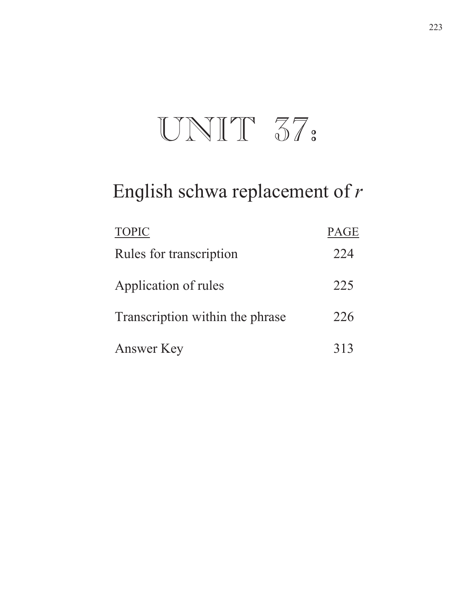# UNIT 37:

# English schwa replacement of  $r$

| <b>TOPIC</b>                    | <b>PAGE</b> |
|---------------------------------|-------------|
| Rules for transcription         | 224         |
| Application of rules            | 225         |
| Transcription within the phrase | 226         |
| Answer Key                      | 313         |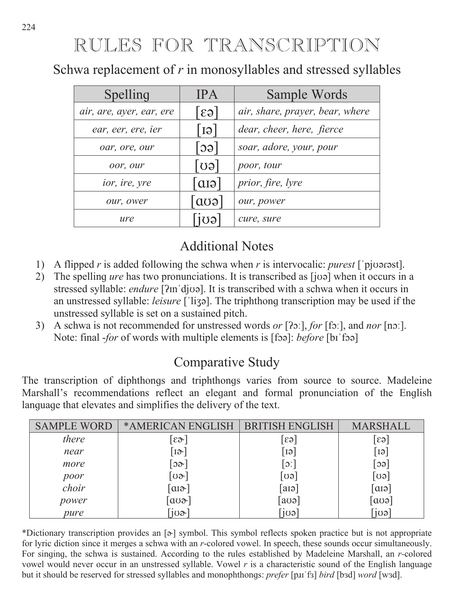RULES FOR TRANSCRIPTION

Schwa replacement of *r* in monosyllables and stressed syllables

| Spelling                 | <b>IPA</b>                  | Sample Words                    |
|--------------------------|-----------------------------|---------------------------------|
| air, are, ayer, ear, ere | $ \epsilon_3 $              | air, share, prayer, bear, where |
| ear, eer, ere, ier       | l GI                        | dear, cheer, here, fierce       |
| oar, ore, our            | $\lceil \circ \circ \rceil$ | soar, adore, your, pour         |
| oor, our                 | $\lceil$ GO $\rceil$        | poor, tour                      |
| ior, ire, yre            | $\lceil$ aiə                | prior, fire, lyre               |
| our, ower                | $\lceil \cos \rceil$        | our, power                      |
| ure                      | Tigal                       | cure, sure                      |

# Additional Notes

- 1) A flipped *r* is added following the schwa when *r* is intervocalic: *purest* ['pjoarast].
- 2) The spelling *ure* has two pronunciations. It is transcribed as [joo] when it occurs in a stressed syllable: *endure* [ʔmˈdjʊə]. It is transcribed with a schwa when it occurs in an unstressed syllable: *leisure* ['liʒə]. The triphthong transcription may be used if the unstressed syllable is set on a sustained pitch.
- 3) A schwa is not recommended for unstressed words *or* [?o:], *for* [fo:], and *nor* [no:]. Note: final *-for* of words with multiple elements is [foa]: *before* [bi foa]

# Comparative Study

The transcription of diphthongs and triphthongs varies from source to source. Madeleine Marshall's recommendations reflect an elegant and formal pronunciation of the English language that elevates and simplifies the delivery of the text.

| <b>SAMPLE WORD</b> | *AMERICAN ENGLISH                       | <b>ISH ENGLISH</b> | <b>MARSHALL</b>        |
|--------------------|-----------------------------------------|--------------------|------------------------|
| there              | $\lceil \varepsilon \infty \rceil$      | $\epsilon$         | $ \varepsilon_3 $      |
| near               | $\lceil \cdot \rceil$                   | GI                 | $\lceil \Theta \rceil$ |
| more               | $\lceil$ ၁∂ $\cdot \rceil$              | $\overline{C}$     | [၁ခ]                   |
|                    | ്ഗ∂~]                                   | [ပခ]               | $\lceil$ oə $\rceil$   |
| poor<br>choir      | $\lceil \alpha \rceil$                  | $\lceil a \rceil$  | $\lceil$ arə $\rceil$  |
| power              | $\lceil \text{a}\text{a}\text{b}\rceil$ | [aʊə]              | $\lceil \cos \rceil$   |
| pure               | 708                                     | ົiʊə               | [jʊəˈ                  |

\*Dictionary transcription provides an  $\lceil \phi \rceil$  symbol. This symbol reflects spoken practice but is not appropriate for lyric diction since it merges a schwa with an *r*-colored vowel. In speech, these sounds occur simultaneously. For singing, the schwa is sustained. According to the rules established by Madeleine Marshall, an *r*-colored vowel would never occur in an unstressed syllable. Vowel r is a characteristic sound of the English language but it should be reserved for stressed syllables and monophthongs: *prefer* [purificard [b3d] *word* [w3d].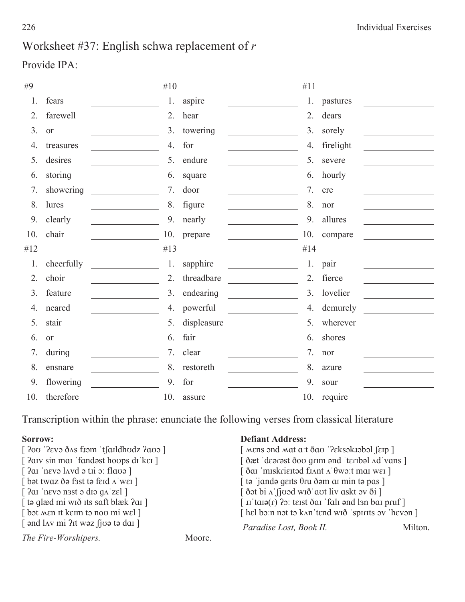# Worksheet #37: English schwa replacement of  $r$

# Provide IPA:

| #9  |            | #10 |             | #11                                          |           |
|-----|------------|-----|-------------|----------------------------------------------|-----------|
| 1.  | fears      | 1.  | aspire      | 1.                                           | pastures  |
| 2.  | farewell   | 2.  | hear        | 2.                                           | dears     |
| 3.  | <b>or</b>  | 3.  | towering    | 3.                                           | sorely    |
| 4.  | treasures  | 4.  | for         | 4.                                           | firelight |
| 5.  | desires    | 5.  | endure      | 5.                                           | severe    |
| 6.  | storing    | 6.  | square      | 6.                                           | hourly    |
| 7.  | showering  | 7.  | door        | 7.                                           | ere       |
| 8.  | lures      | 8.  | figure      | 8.                                           | nor       |
| 9.  | clearly    | 9.  | nearly      | 9.                                           | allures   |
| 10. | chair      | 10. | prepare     | 10.                                          | compare   |
| #12 |            | #13 |             | #14                                          |           |
| 1.  | cheerfully | 1.  | sapphire    | 1.                                           | pair      |
| 2.  | choir      | 2.  | threadbare  | 2.<br><u> 1980 - Jan Barat III, prima po</u> | fierce    |
| 3.  | feature    | 3.  | endearing   | 3.                                           | lovelier  |
| 4.  | neared     | 4.  | powerful    | 4.                                           | demurely  |
| 5.  | stair      | 5.  | displeasure | 5.                                           | wherever  |
| 6.  | <b>or</b>  | 6.  | fair        | 6.                                           | shores    |
| 7.  | during     | 7.  | clear       | 7.                                           | nor       |
| 8.  | ensnare    | 8.  | restoreth   | 8.                                           | azure     |
|     |            |     |             |                                              |           |
| 9.  | flowering  | 9.  | for         | 9.                                           | sour      |

Transcription within the phrase: enunciate the following verses from classical literature

## Sorrow:

| Sorrow:                                                          |        | <b>Defiant Address:</b>                                                                                                                                                                                                                                                                   |         |
|------------------------------------------------------------------|--------|-------------------------------------------------------------------------------------------------------------------------------------------------------------------------------------------------------------------------------------------------------------------------------------------|---------|
| [ <i>Pou</i> ' <i>Peva</i> das fram 'tsaidhudz <i>Paua</i> ]     |        | [ Mens and Mat a:t ðav '?eksakrabal [erp ]                                                                                                                                                                                                                                                |         |
| [ ?aiv sin mai 'fandest hoops di'kei ]                           |        |                                                                                                                                                                                                                                                                                           |         |
| $\lceil$ ?ai 'nevə lavd ə tij o: flavə $\rceil$                  |        | [ ðar 'miskrieited frant a' θwo:t mar wer]                                                                                                                                                                                                                                                |         |
| $\lceil$ bət twaz ðə fast tə feid $\Lambda$ 'wei $\lceil$        |        | $\lceil$ ta 'janda gerts $\theta$ ru ðam ar min ta pas $\lceil$                                                                                                                                                                                                                           |         |
| $[2a]$ 'nevə nast ə diə g $\triangle$ 'zel                       |        | $\int$ ð at bi $\Lambda$ fjuad wið aut liv askt av ði ]                                                                                                                                                                                                                                   |         |
| [ tə qlæd mi wið its saft blæk ?ai ]                             |        | $\lceil$ II' tail $\alpha(r)$ ? The set of $\alpha$ is set of $\alpha$ is set of $\alpha$ is set of $\alpha$ is set of $\alpha$ is set of $\alpha$ is set of $\alpha$ is set of $\alpha$ is set of $\alpha$ is set of $\alpha$ is set of $\alpha$ is set of $\alpha$ is set of $\alpha$ i |         |
| [bot men it keim to nov mi wel]                                  |        | [ hel bo:n not to kan 'tend wið 'spirits ov 'hevon ]                                                                                                                                                                                                                                      |         |
| $\lceil$ and $\ln v$ mi ?It waz $\int$ j $\log t$ a dar $\lceil$ |        | Paradise Lost, Book II.                                                                                                                                                                                                                                                                   | Milton. |
| The Fire-Worshipers.                                             | Moore. |                                                                                                                                                                                                                                                                                           |         |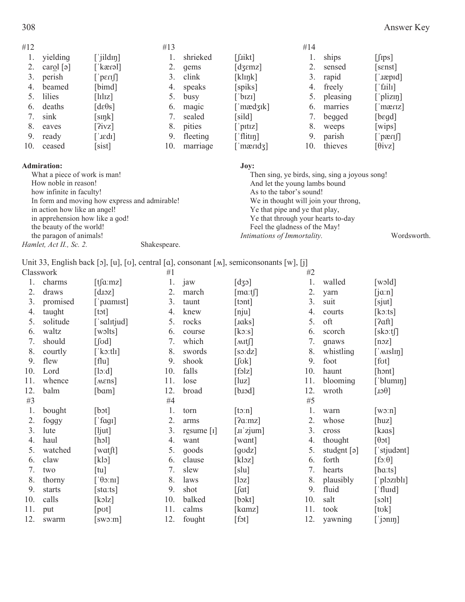| #12 |                         |                                  | #13 |          |                              | #14 |          |                       |
|-----|-------------------------|----------------------------------|-----|----------|------------------------------|-----|----------|-----------------------|
|     | yielding                | $\lceil$ jildin]                 |     | shrieked | $[$ fikt]                    |     | ships    | $[\text{fips}]$       |
|     | carol $\lceil 9 \rceil$ | [ˈkæɾəl]                         |     | qems     | $\lceil \text{dzemz} \rceil$ |     | sensed   | [sɛnst]               |
| 3.  | perish                  | $\lceil \cdot \rceil$            | 3.  | clink    | [klnk]                       | 3.  | rapid    | [ˈɹæpɪd]              |
| 4.  | beamed                  | [bimd]                           | 4.  | speaks   | [spiks]                      | 4.  | freely   | $\lceil$ fiili]       |
|     | lilies                  | $\lceil \text{lluz} \rceil$      |     | busy     | $\lceil$ 'bizi]              |     | pleasing | $\lceil$ plizm]       |
| 6.  | deaths                  | $\lceil d \varepsilon \theta$ s] | 6.  | maqic    | ['mædʒɪk]                    | 6.  | marries  | maxrz                 |
|     | sink                    | [sink]                           |     | sealed   | [sild]                       | 7.  | begged   | [bɛgd]                |
| 8.  | eaves                   | [2ivz]                           | 8.  | pities   | $\lceil$ 'pitiz]             | 8.  | weeps    | [wips]                |
| 9.  | ready                   | [ˈɹɛdɪ]                          | 9.  | fleeting | $\lceil$ flitter             | 9.  | parish   | $\lceil \cdot \rceil$ |
| 10. | ceased                  | [sist]                           | 10. | marriage | ['mærid $\overline{3}$ ]     | 10. | thieves  | $\lceil \theta$ ivz]  |
|     |                         |                                  |     |          |                              |     |          |                       |

#### **Admiration:**

| <b>Admiration:</b>                            |              | Jov:                                           |             |
|-----------------------------------------------|--------------|------------------------------------------------|-------------|
| What a piece of work is man!                  |              | Then sing, ye birds, sing, sing a joyous song! |             |
| How noble in reason!                          |              | And let the young lambs bound                  |             |
| how infinite in faculty!                      |              | As to the tabor's sound!                       |             |
| In form and moving how express and admirable! |              | We in thought will join your throng,           |             |
| in action how like an angel!                  |              | Ye that pipe and ye that play,                 |             |
| in apprehension how like a god!               |              | Ye that through your hearts to-day             |             |
| the beauty of the world!                      |              | Feel the gladness of the May!                  |             |
| the paragon of animals!                       |              | Intimations of Immortality.                    | Wordsworth. |
| Hamlet, Act II., Sc. 2.                       | Shakespeare. |                                                |             |

Unit 33, English back [ɔ], [u], [ʊ], central [ɑ], consonant [M], semiconsonants [w], [j]

| Classwork |          |                                                      | #1  |            |                  |     | #2                |                           |  |
|-----------|----------|------------------------------------------------------|-----|------------|------------------|-----|-------------------|---------------------------|--|
| 1.        | charms   | $[t[\alpha:mz]$                                      | 1.  | jaw        | [d35]            | 1.  | walled            | [width]                   |  |
| 2.        | draws    | $\lceil \text{dioz} \rceil$                          | 2.  | march      | $[\text{ma:t}$   | 2.  | yarn              | $[i\alpha:n]$             |  |
| 3.        | promised | $\lceil$ p. ramist                                   | 3.  | taunt      | [tont]           | 3.  | suit              | [sjut]                    |  |
| 4.        | taught   | $[{\rm tot}]$                                        | 4.  | knew       | [nju]            | 4.  | courts            | $[k \circ : ts]$          |  |
| 5.        | solitude | ['salɪtjud]                                          | 5.  | rocks      | [ $aks$ ]        | 5.  | oft               | [2af]                     |  |
| 6.        | waltz    | [wolts]                                              | 6.  | course     | $[k\circ s]$     | 6.  | scorch            | $[$ skoːtʃ]               |  |
| 7.        | should   | $\lceil \text{fod} \rceil$                           | 7.  | which      | $[$ MIt $\int$   | 7.  | qnaws             | [noz]                     |  |
| 8.        | courtly  | [ $k$ o:tlɪ]                                         | 8.  | swords     | $[s \circ : dz]$ | 8.  | whistling         | [' $Mslin$ ]              |  |
| 9.        | flew     | [flu]                                                | 9.  | shook      | [ <i>fork</i> ]  | 9.  | foot              | [ <i>f</i> ot]            |  |
| 10.       | Lord     | [10:d]                                               | 10. | falls      | [folz]           | 10. | haunt             | [hont]                    |  |
| 11.       | whence   | [ <i>mens</i> ]                                      | 11. | lose       | [luz]            | 11. | blooming          | [ˈblumɪŋ]                 |  |
| 12.       | balm     | [bɑm]                                                | 12. | broad      | [bad]            | 12. | wroth             | $\lceil \theta$ cL]       |  |
| #3        |          |                                                      | #4  |            |                  | #5  |                   |                           |  |
| 1.        | bought   | [bot]                                                | 1.  | torn       | $[t\circ n]$     | 1.  | warn              | $\lceil w \circ n \rceil$ |  |
| 2.        | foggy    | $[$ fag $I]$                                         | 2.  | arms       | [2a: mz]         | 2.  | whose             | [huz]                     |  |
| 3.        | lute     | [ljut]                                               | 3.  | resume [1] | [II zjum]        | 3.  | cross             | [ $kras$ ]                |  |
| 4.        | haul     | [hol]                                                | 4.  | want       | [want]           | 4.  | thought           | $[\theta \circ t]$        |  |
| 5.        | watched  | $[{\rm watft}]$                                      | 5.  | goods      | [godz]           | 5.  | student $[\circ]$ | ['stjudənt]               |  |
| 6.        | claw     | [k]                                                  | 6.  | clause     | [klog]           | 6.  | forth             | $[f \circ \theta]$        |  |
| 7.        | two      | $[$ tu]                                              | 7.  | slew       | [s u]            | 7.  | hearts            | [ha:ts]                   |  |
| 8.        | thorny   | $\lceil \theta \cdot \cdot \cdot \cdot \cdot \rceil$ | 8.  | laws       | $[\log]$         | 8.  | plausibly         | $\lceil$ plozibli]        |  |
| 9.        | starts   | [stat:ts]                                            | 9.  | shot       | $[$ fat]         | 9.  | fluid             | ['fluɪd]                  |  |
| 10.       | calls    | [kəlz]                                               | 10. | balked     | [bskt]           | 10. | salt              | $[s$ olt]                 |  |
| 11.       | put      | [pot]                                                | 11. | calms      | [kamz]           | 11. | took              | $[\text{tok}]$            |  |
| 12.       | swarm    | $[sw\circ m]$                                        | 12. | fought     | $[$ fot $]$      | 12. | yawning           | $[\ ]$ jonin]             |  |